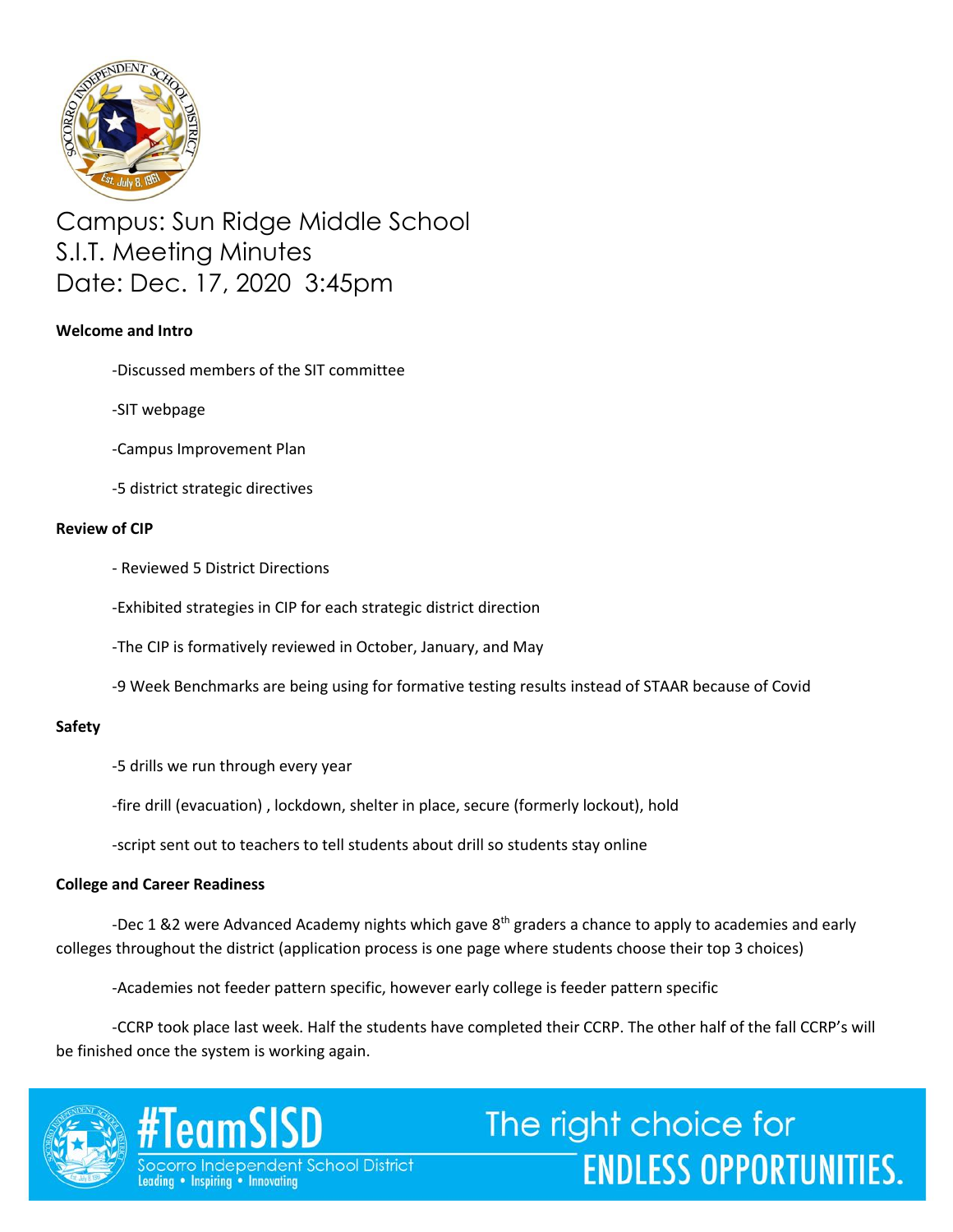

Campus: Sun Ridge Middle School S.I.T. Meeting Minutes Date: Dec. 17, 2020 3:45pm

# **Welcome and Intro**

- -Discussed members of the SIT committee
- -SIT webpage
- -Campus Improvement Plan
- -5 district strategic directives

## **Review of CIP**

- Reviewed 5 District Directions
- -Exhibited strategies in CIP for each strategic district direction
- -The CIP is formatively reviewed in October, January, and May
- -9 Week Benchmarks are being using for formative testing results instead of STAAR because of Covid

# **Safety**

- -5 drills we run through every year
- -fire drill (evacuation) , lockdown, shelter in place, secure (formerly lockout), hold
- -script sent out to teachers to tell students about drill so students stay online

### **College and Career Readiness**

-Dec 1 &2 were Advanced Academy nights which gave 8<sup>th</sup> graders a chance to apply to academies and early colleges throughout the district (application process is one page where students choose their top 3 choices)

-Academies not feeder pattern specific, however early college is feeder pattern specific

-CCRP took place last week. Half the students have completed their CCRP. The other half of the fall CCRP's will be finished once the system is working again.

**ENDLESS OPPORTUNITIES.** 



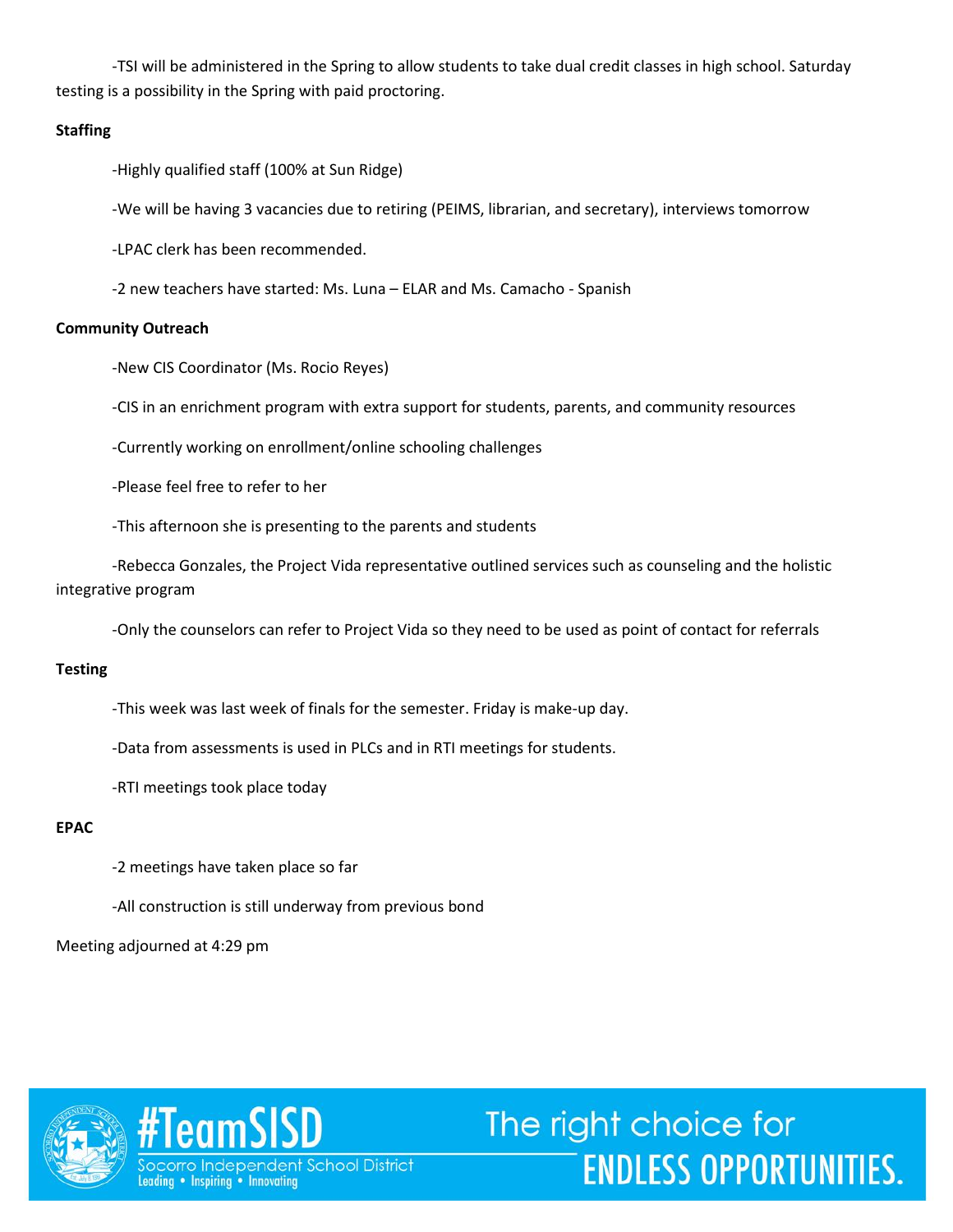-TSI will be administered in the Spring to allow students to take dual credit classes in high school. Saturday testing is a possibility in the Spring with paid proctoring.

## **Staffing**

-Highly qualified staff (100% at Sun Ridge)

-We will be having 3 vacancies due to retiring (PEIMS, librarian, and secretary), interviews tomorrow

-LPAC clerk has been recommended.

-2 new teachers have started: Ms. Luna – ELAR and Ms. Camacho - Spanish

## **Community Outreach**

-New CIS Coordinator (Ms. Rocio Reyes)

-CIS in an enrichment program with extra support for students, parents, and community resources

-Currently working on enrollment/online schooling challenges

-Please feel free to refer to her

-This afternoon she is presenting to the parents and students

-Rebecca Gonzales, the Project Vida representative outlined services such as counseling and the holistic integrative program

-Only the counselors can refer to Project Vida so they need to be used as point of contact for referrals

### **Testing**

-This week was last week of finals for the semester. Friday is make-up day.

-Data from assessments is used in PLCs and in RTI meetings for students.

-RTI meetings took place today

### **EPAC**

-2 meetings have taken place so far

-All construction is still underway from previous bond

Meeting adjourned at 4:29 pm



#TeamSISD corro Independent School District Leading . Inspiring . Innovating

The right choice for **ENDLESS OPPORTUNITIES.**